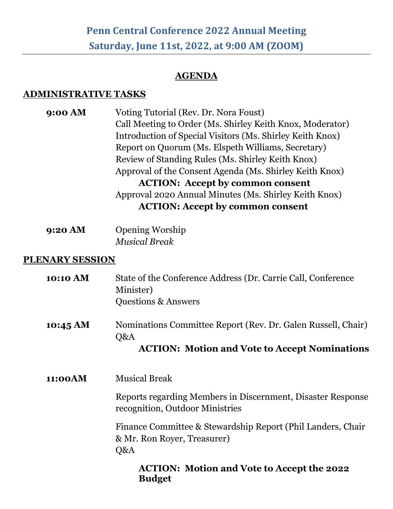## **Penn Central Conference 2022 Annual Meeting Saturday, June 11st, 2022, at 9:00 AM (ZOOM)**

## **AGENDA**

## **ADMINISTRATIVE TASKS**

**9:00 AM** Voting Tutorial (Rev. Dr. Nora Foust) Call Meeting to Order (Ms. Shirley Keith Knox, Moderator) Introduction of Special Visitors (Ms. Shirley Keith Knox) Report on Quorum (Ms. Elspeth Williams, Secretary) Review of Standing Rules (Ms. Shirley Keith Knox) Approval of the Consent Agenda (Ms. Shirley Keith Knox) **ACTION: Accept by common consent**  Approval 2020 Annual Minutes (Ms. Shirley Keith Knox) **ACTION: Accept by common consent** 

| 9:20 AM | <b>Opening Worship</b> |
|---------|------------------------|
|         | <b>Musical Break</b>   |

## **PLENARY SESSION**

| 10:10 AM           | State of the Conference Address (Dr. Carrie Call, Conference<br>Minister)<br><b>Questions &amp; Answers</b>                 |
|--------------------|-----------------------------------------------------------------------------------------------------------------------------|
| $10:45 \text{ AM}$ | Nominations Committee Report (Rev. Dr. Galen Russell, Chair)<br>Q&A<br><b>ACTION: Motion and Vote to Accept Nominations</b> |
| 11:00AM            | <b>Musical Break</b>                                                                                                        |
|                    | Reports regarding Members in Discernment, Disaster Response<br>recognition, Outdoor Ministries                              |
|                    | Finance Committee & Stewardship Report (Phil Landers, Chair<br>& Mr. Ron Royer, Treasurer)<br>Q&A                           |
|                    | <b>ACTION: Motion and Vote to Accept the 2022</b>                                                                           |

**Budget**